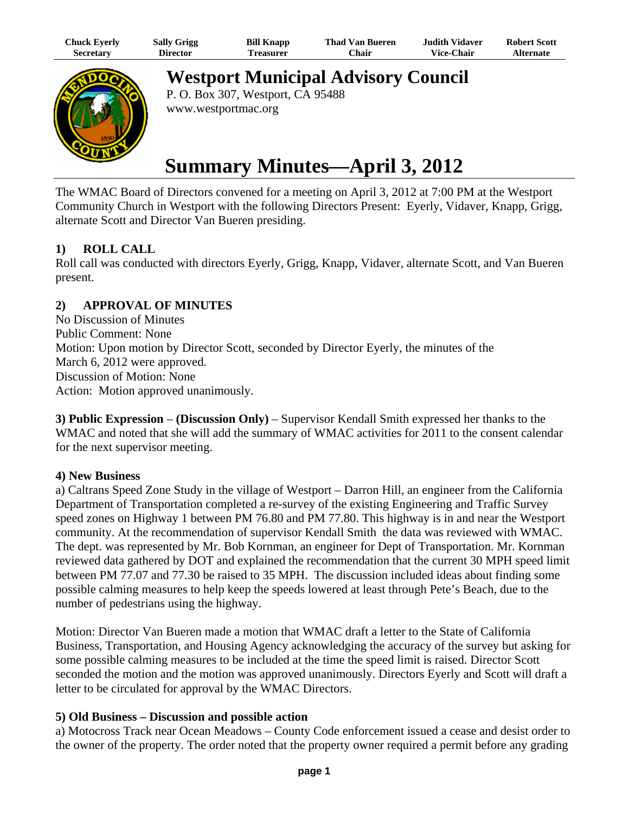| Chuck Eyerly     | <b>Sally Grigg</b> | <b>Bill Knapp</b> | Thad Van Bueren | Judith Vidaver.   | <b>Robert Scott</b> |
|------------------|--------------------|-------------------|-----------------|-------------------|---------------------|
| <b>Secretary</b> | Director           | `reasurer         | ∵hair           | <b>Vice-Chair</b> | <b>Alternate</b>    |



**Westport Municipal Advisory Council**

P. O. Box 307, Westport, CA 95488 www.westportmac.org

# **Summary Minutes—April 3, 2012**

The WMAC Board of Directors convened for a meeting on April 3, 2012 at 7:00 PM at the Westport Community Church in Westport with the following Directors Present: Eyerly, Vidaver, Knapp, Grigg, alternate Scott and Director Van Bueren presiding.

# **1) ROLL CALL**

Roll call was conducted with directors Eyerly, Grigg, Knapp, Vidaver, alternate Scott, and Van Bueren present.

# **2) APPROVAL OF MINUTES**

No Discussion of Minutes Public Comment: None Motion: Upon motion by Director Scott, seconded by Director Eyerly, the minutes of the March 6, 2012 were approved. Discussion of Motion: None Action: Motion approved unanimously.

**3) Public Expression** – **(Discussion Only)** – Supervisor Kendall Smith expressed her thanks to the WMAC and noted that she will add the summary of WMAC activities for 2011 to the consent calendar for the next supervisor meeting.

#### **4) New Business**

a) Caltrans Speed Zone Study in the village of Westport – Darron Hill, an engineer from the California Department of Transportation completed a re-survey of the existing Engineering and Traffic Survey speed zones on Highway 1 between PM 76.80 and PM 77.80. This highway is in and near the Westport community. At the recommendation of supervisor Kendall Smith the data was reviewed with WMAC. The dept. was represented by Mr. Bob Kornman, an engineer for Dept of Transportation. Mr. Kornman reviewed data gathered by DOT and explained the recommendation that the current 30 MPH speed limit between PM 77.07 and 77.30 be raised to 35 MPH. The discussion included ideas about finding some possible calming measures to help keep the speeds lowered at least through Pete's Beach, due to the number of pedestrians using the highway.

Motion: Director Van Bueren made a motion that WMAC draft a letter to the State of California Business, Transportation, and Housing Agency acknowledging the accuracy of the survey but asking for some possible calming measures to be included at the time the speed limit is raised. Director Scott seconded the motion and the motion was approved unanimously. Directors Eyerly and Scott will draft a letter to be circulated for approval by the WMAC Directors.

#### **5) Old Business – Discussion and possible action**

a) Motocross Track near Ocean Meadows – County Code enforcement issued a cease and desist order to the owner of the property. The order noted that the property owner required a permit before any grading